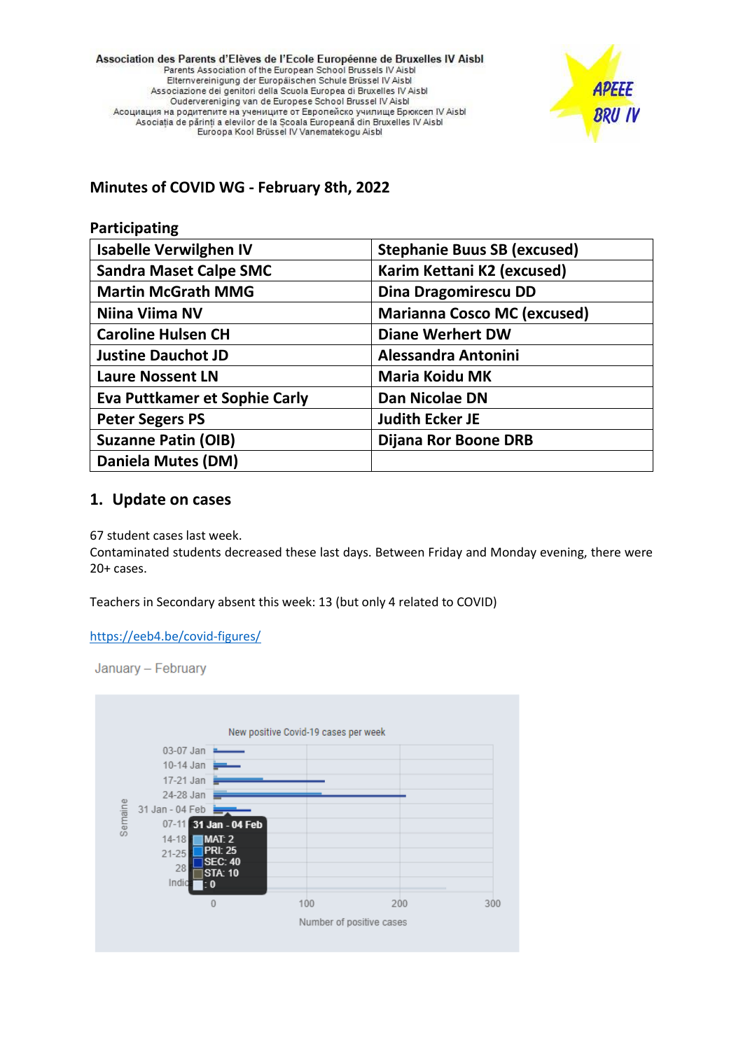Association des Parents d'Elèves de l'Ecole Européenne de Bruxelles IV Aisbl Parents Association of the European School Brussels IV Aisbl Elternvereinigung der Europäischen Schule Brüssel IV Aisbl Associazione dei genitori della Scuola Europea di Bruxelles IV Aisbl Oudervereniging van de Europese School Brussel IV Aisbl Асоциация на родителите на учениците от Европейско училище Брюксел IV Aisbl Asociația de părinți a elevilor de la Școala Europeană din Bruxelles IV Aisbl Euroopa Kool Brüssel IV Vanematekogu Aisbl



**Minutes of COVID WG - February 8th, 2022**

| Participating                        |                                    |
|--------------------------------------|------------------------------------|
| <b>Isabelle Verwilghen IV</b>        | <b>Stephanie Buus SB (excused)</b> |
| <b>Sandra Maset Calpe SMC</b>        | Karim Kettani K2 (excused)         |
| <b>Martin McGrath MMG</b>            | Dina Dragomirescu DD               |
| Niina Viima NV                       | <b>Marianna Cosco MC (excused)</b> |
| <b>Caroline Hulsen CH</b>            | <b>Diane Werhert DW</b>            |
| <b>Justine Dauchot JD</b>            | <b>Alessandra Antonini</b>         |
| <b>Laure Nossent LN</b>              | <b>Maria Koidu MK</b>              |
| <b>Eva Puttkamer et Sophie Carly</b> | Dan Nicolae DN                     |
| <b>Peter Segers PS</b>               | <b>Judith Ecker JE</b>             |
| <b>Suzanne Patin (OIB)</b>           | Dijana Ror Boone DRB               |
| Daniela Mutes (DM)                   |                                    |

## **1. Update on cases**

67 student cases last week.

Contaminated students decreased these last days. Between Friday and Monday evening, there were 20+ cases.

Teachers in Secondary absent this week: 13 (but only 4 related to COVID)

<https://eeb4.be/covid-figures/>

January - February

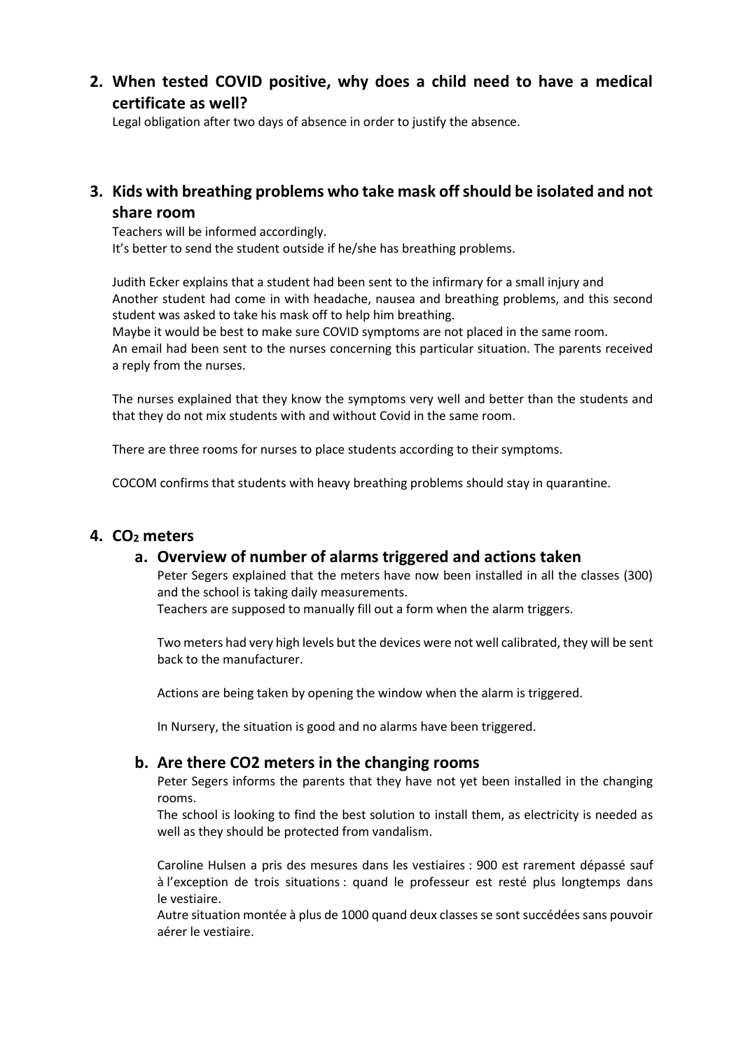**2. When tested COVID positive, why does a child need to have a medical certificate as well?**

Legal obligation after two days of absence in order to justify the absence.

**3. Kids with breathing problems who take mask off should be isolated and not share room**

Teachers will be informed accordingly. It's better to send the student outside if he/she has breathing problems.

Judith Ecker explains that a student had been sent to the infirmary for a small injury and Another student had come in with headache, nausea and breathing problems, and this second student was asked to take his mask off to help him breathing.

Maybe it would be best to make sure COVID symptoms are not placed in the same room. An email had been sent to the nurses concerning this particular situation. The parents received a reply from the nurses.

The nurses explained that they know the symptoms very well and better than the students and that they do not mix students with and without Covid in the same room.

There are three rooms for nurses to place students according to their symptoms.

COCOM confirms that students with heavy breathing problems should stay in quarantine.

### **4. CO<sup>2</sup> meters**

### **a. Overview of number of alarms triggered and actions taken**

Peter Segers explained that the meters have now been installed in all the classes (300) and the school is taking daily measurements.

Teachers are supposed to manually fill out a form when the alarm triggers.

Two meters had very high levels but the devices were not well calibrated, they will be sent back to the manufacturer.

Actions are being taken by opening the window when the alarm is triggered.

In Nursery, the situation is good and no alarms have been triggered.

### **b. Are there CO2 meters in the changing rooms**

Peter Segers informs the parents that they have not yet been installed in the changing rooms.

The school is looking to find the best solution to install them, as electricity is needed as well as they should be protected from vandalism.

Caroline Hulsen a pris des mesures dans les vestiaires : 900 est rarement dépassé sauf à l'exception de trois situations : quand le professeur est resté plus longtemps dans le vestiaire.

Autre situation montée à plus de 1000 quand deux classes se sont succédées sans pouvoir aérer le vestiaire.